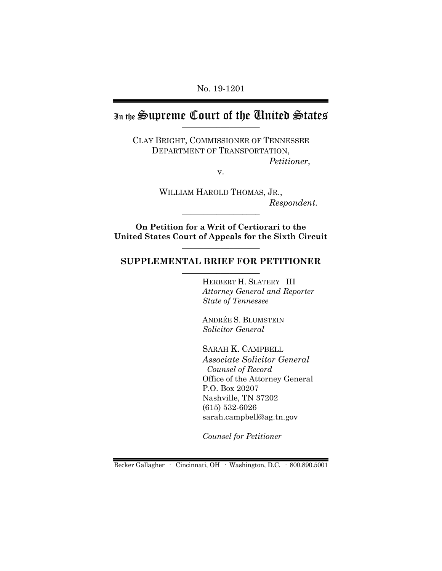No. 19-1201

# In the Supreme Court of the Chuited States

CLAY BRIGHT, COMMISSIONER OF TENNESSEE DEPARTMENT OF TRANSPORTATION, *Petitioner*,

v.

WILLIAM HAROLD THOMAS, JR.,  $Respondent.$ 

**On Petition for a Writ of Certiorari to the United States Court of Appeals for the Sixth Circuit** \_\_\_\_\_\_\_\_\_\_\_\_\_\_\_\_\_\_

## **SUPPLEMENTAL BRIEF FOR PETITIONER** \_\_\_\_\_\_\_\_\_\_\_\_\_\_\_\_\_\_

HERBERT H. SLATERY III *Attorney General and Reporter State of Tennessee*

ANDRÉE S. BLUMSTEIN *Solicitor General*

SARAH K. CAMPBELL *Associate Solicitor General Counsel of Record* Office of the Attorney General P.O. Box 20207 Nashville, TN 37202 (615) 532-6026 sarah.campbell@ag.tn.gov

*Counsel for Petitioner*

Becker Gallagher · Cincinnati, OH · Washington, D.C. · 800.890.5001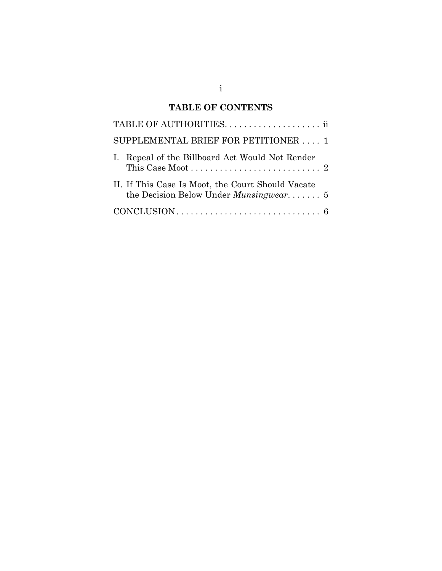# **TABLE OF CONTENTS**

| SUPPLEMENTAL BRIEF FOR PETITIONER  1                                                               |
|----------------------------------------------------------------------------------------------------|
| I. Repeal of the Billboard Act Would Not Render                                                    |
| II. If This Case Is Moot, the Court Should Vacate<br>the Decision Below Under <i>Munsingwear</i> 5 |
|                                                                                                    |

i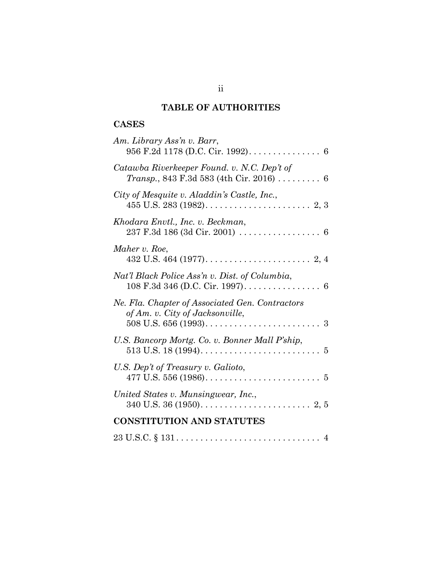# **TABLE OF AUTHORITIES**

# **CASES**

| Am. Library Ass'n v. Barr,                                                                                         |
|--------------------------------------------------------------------------------------------------------------------|
| Catawba Riverkeeper Found. v. N.C. Dep't of<br>Transp., 843 F.3d 583 (4th Cir. 2016)  6                            |
| City of Mesquite v. Aladdin's Castle, Inc.,                                                                        |
| Khodara Envtl., Inc. v. Beckman,                                                                                   |
| Maher v. Roe,<br>432 U.S. 464 (1977). $\dots \dots \dots \dots \dots \dots \dots \dots \dots$                      |
| Nat'l Black Police Ass'n v. Dist. of Columbia,                                                                     |
| Ne. Fla. Chapter of Associated Gen. Contractors<br>of Am. v. City of Jacksonville,                                 |
| U.S. Bancorp Mortg. Co. v. Bonner Mall P'ship,                                                                     |
| U.S. Dep't of Treasury v. Galioto,<br>477 U.S. 556 (1986). $\dots \dots \dots \dots \dots \dots \dots \dots \dots$ |
| United States v. Munsingwear, Inc.,                                                                                |
| <b>CONSTITUTION AND STATUTES</b>                                                                                   |
| $23 \text{ U.S.C.} \S 131 \ldots \ldots \ldots \ldots \ldots \ldots \ldots \ldots \ldots \ldots \quad 4$           |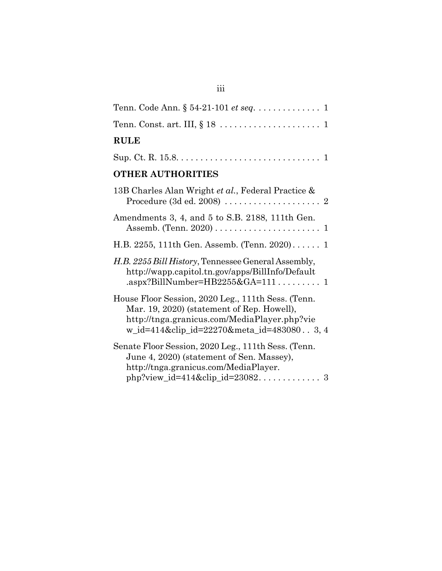| Tenn. Code Ann. § 54-21-101 et seq. 1                                                                                                                                                        |
|----------------------------------------------------------------------------------------------------------------------------------------------------------------------------------------------|
|                                                                                                                                                                                              |
| <b>RULE</b>                                                                                                                                                                                  |
|                                                                                                                                                                                              |
| <b>OTHER AUTHORITIES</b>                                                                                                                                                                     |
| 13B Charles Alan Wright et al., Federal Practice &                                                                                                                                           |
| Amendments 3, 4, and 5 to S.B. 2188, 111th Gen.                                                                                                                                              |
| H.B. 2255, 111th Gen. Assemb. (Tenn. 2020) 1                                                                                                                                                 |
| H.B. 2255 Bill History, Tennessee General Assembly,<br>http://wapp.capitol.tn.gov/apps/BillInfo/Default<br>.aspx?BillNumber= $HB2255&GA=1111$                                                |
| House Floor Session, 2020 Leg., 111th Sess. (Tenn.<br>Mar. 19, 2020) (statement of Rep. Howell),<br>http://tnga.granicus.com/MediaPlayer.php?vie<br>w_id=414&clip_id=22270&meta_id=4830803,4 |
| Senate Floor Session, 2020 Leg., 111th Sess. (Tenn.<br>June 4, 2020) (statement of Sen. Massey),<br>http://tnga.granicus.com/MediaPlayer.                                                    |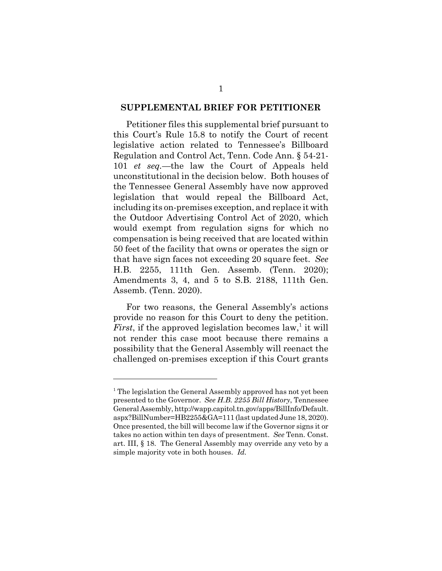#### **SUPPLEMENTAL BRIEF FOR PETITIONER**

Petitioner files this supplemental brief pursuant to this Court's Rule 15.8 to notify the Court of recent legislative action related to Tennessee's Billboard Regulation and Control Act, Tenn. Code Ann. § 54-21- 101 *et seq.*—the law the Court of Appeals held unconstitutional in the decision below. Both houses of the Tennessee General Assembly have now approved legislation that would repeal the Billboard Act, including its on-premises exception, and replace it with the Outdoor Advertising Control Act of 2020, which would exempt from regulation signs for which no compensation is being received that are located within 50 feet of the facility that owns or operates the sign or that have sign faces not exceeding 20 square feet. *See* H.B. 2255, 111th Gen. Assemb. (Tenn. 2020); Amendments 3, 4, and 5 to S.B. 2188, 111th Gen. Assemb. (Tenn. 2020).

For two reasons, the General Assembly's actions provide no reason for this Court to deny the petition. *First*, if the approved legislation becomes law,<sup>1</sup> it will not render this case moot because there remains a possibility that the General Assembly will reenact the challenged on-premises exception if this Court grants

<sup>&</sup>lt;sup>1</sup> The legislation the General Assembly approved has not yet been presented to the Governor. *See H.B. 2255 Bill History*, Tennessee General Assembly, http://wapp.capitol.tn.gov/apps/BillInfo/Default. aspx?BillNumber=HB2255&GA=111 (last updated June 18, 2020). Once presented, the bill will become law if the Governor signs it or takes no action within ten days of presentment. *See* Tenn. Const. art. III, § 18. The General Assembly may override any veto by a simple majority vote in both houses. *Id.*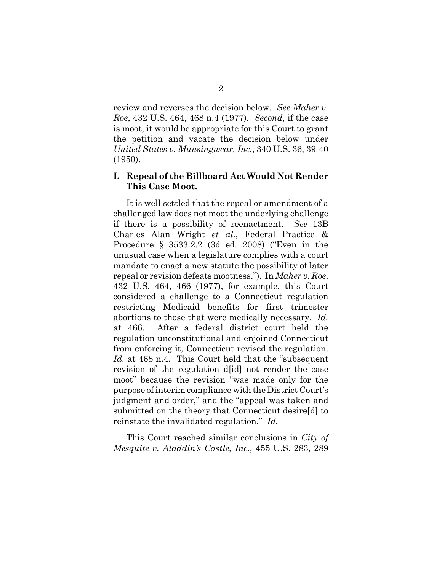review and reverses the decision below. *See Maher v. Roe*, 432 U.S. 464, 468 n.4 (1977). *Second*, if the case is moot, it would be appropriate for this Court to grant the petition and vacate the decision below under *United States v. Munsingwear, Inc.*, 340 U.S. 36, 39-40 (1950).

### **I. Repeal of the Billboard Act Would Not Render This Case Moot.**

It is well settled that the repeal or amendment of a challenged law does not moot the underlying challenge if there is a possibility of reenactment. *See* 13B Charles Alan Wright *et al.*, Federal Practice & Procedure § 3533.2.2 (3d ed. 2008) ("Even in the unusual case when a legislature complies with a court mandate to enact a new statute the possibility of later repeal or revision defeats mootness."). In *Maher v. Roe*, 432 U.S. 464, 466 (1977), for example, this Court considered a challenge to a Connecticut regulation restricting Medicaid benefits for first trimester abortions to those that were medically necessary. *Id.* at 466. After a federal district court held the regulation unconstitutional and enjoined Connecticut from enforcing it, Connecticut revised the regulation. *Id.* at 468 n.4. This Court held that the "subsequent revision of the regulation d[id] not render the case moot" because the revision "was made only for the purpose of interim compliance with the District Court's judgment and order," and the "appeal was taken and submitted on the theory that Connecticut desire[d] to reinstate the invalidated regulation." *Id.*

This Court reached similar conclusions in *City of Mesquite v. Aladdin's Castle, Inc.*, 455 U.S. 283, 289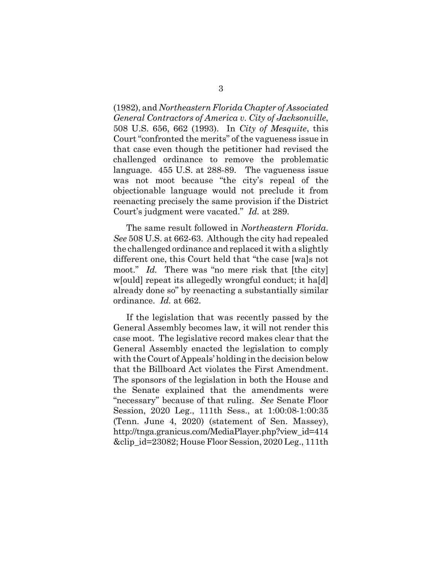(1982), and *Northeastern Florida Chapter of Associated General Contractors of America v. City of Jacksonville*, 508 U.S. 656, 662 (1993). In *City of Mesquite*, this Court "confronted the merits" of the vagueness issue in that case even though the petitioner had revised the challenged ordinance to remove the problematic language. 455 U.S. at 288-89. The vagueness issue was not moot because "the city's repeal of the objectionable language would not preclude it from reenacting precisely the same provision if the District Court's judgment were vacated." *Id.* at 289.

The same result followed in *Northeastern Florida*. *See* 508 U.S. at 662-63. Although the city had repealed the challenged ordinance and replaced it with a slightly different one, this Court held that "the case [wa]s not moot." *Id.* There was "no mere risk that [the city] w[ould] repeat its allegedly wrongful conduct; it ha[d] already done so" by reenacting a substantially similar ordinance. *Id.* at 662.

If the legislation that was recently passed by the General Assembly becomes law, it will not render this case moot. The legislative record makes clear that the General Assembly enacted the legislation to comply with the Court of Appeals' holding in the decision below that the Billboard Act violates the First Amendment. The sponsors of the legislation in both the House and the Senate explained that the amendments were "necessary" because of that ruling. *See* Senate Floor Session, 2020 Leg., 111th Sess., at 1:00:08-1:00:35 (Tenn. June 4, 2020) (statement of Sen. Massey), http://tnga.granicus.com/MediaPlayer.php?view\_id=414 &clip\_id=23082; House Floor Session, 2020 Leg., 111th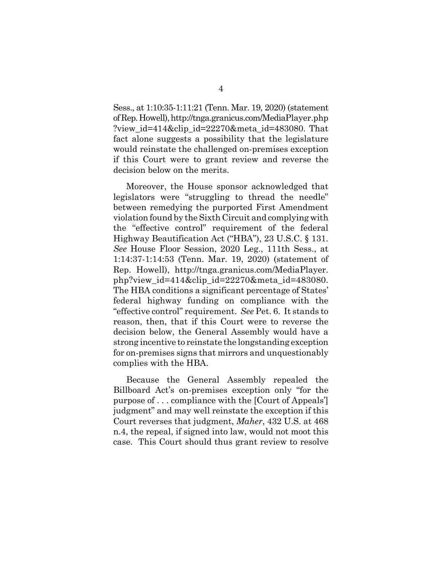Sess., at 1:10:35-1:11:21 (Tenn. Mar. 19, 2020) (statement of Rep. Howell), http://tnga.granicus.com/MediaPlayer.php ?view id=414&clip id=22270&meta id=483080. That fact alone suggests a possibility that the legislature would reinstate the challenged on-premises exception if this Court were to grant review and reverse the decision below on the merits.

Moreover, the House sponsor acknowledged that legislators were "struggling to thread the needle" between remedying the purported First Amendment violation found by the Sixth Circuit and complying with the "effective control" requirement of the federal Highway Beautification Act ("HBA"), 23 U.S.C. § 131. *See* House Floor Session, 2020 Leg., 111th Sess., at 1:14:37-1:14:53 (Tenn. Mar. 19, 2020) (statement of Rep. Howell), http://tnga.granicus.com/MediaPlayer. php?view\_id=414&clip\_id=22270&meta\_id=483080. The HBA conditions a significant percentage of States' federal highway funding on compliance with the "effective control" requirement. *See* Pet. 6. It stands to reason, then, that if this Court were to reverse the decision below, the General Assembly would have a strong incentive to reinstate the longstanding exception for on-premises signs that mirrors and unquestionably complies with the HBA.

Because the General Assembly repealed the Billboard Act's on-premises exception only "for the purpose of . . . compliance with the [Court of Appeals'] judgment" and may well reinstate the exception if this Court reverses that judgment, *Maher*, 432 U.S. at 468 n.4, the repeal, if signed into law, would not moot this case. This Court should thus grant review to resolve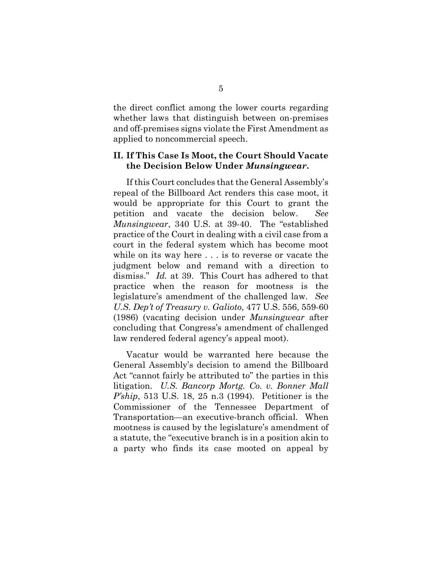the direct conflict among the lower courts regarding whether laws that distinguish between on-premises and off-premises signs violate the First Amendment as applied to noncommercial speech.

### **II. If This Case Is Moot, the Court Should Vacate the Decision Below Under** *Munsingwear***.**

If this Court concludes that the General Assembly's repeal of the Billboard Act renders this case moot, it would be appropriate for this Court to grant the petition and vacate the decision below. *See Munsingwear*, 340 U.S. at 39-40. The "established practice of the Court in dealing with a civil case from a court in the federal system which has become moot while on its way here . . . is to reverse or vacate the judgment below and remand with a direction to dismiss." *Id.* at 39. This Court has adhered to that practice when the reason for mootness is the legislature's amendment of the challenged law. *See U.S. Dep't of Treasury v. Galioto*, 477 U.S. 556, 559-60 (1986) (vacating decision under *Munsingwear* after concluding that Congress's amendment of challenged law rendered federal agency's appeal moot).

Vacatur would be warranted here because the General Assembly's decision to amend the Billboard Act "cannot fairly be attributed to" the parties in this litigation. *U.S. Bancorp Mortg. Co. v. Bonner Mall P'ship*, 513 U.S. 18, 25 n.3 (1994). Petitioner is the Commissioner of the Tennessee Department of Transportation—an executive-branch official. When mootness is caused by the legislature's amendment of a statute, the "executive branch is in a position akin to a party who finds its case mooted on appeal by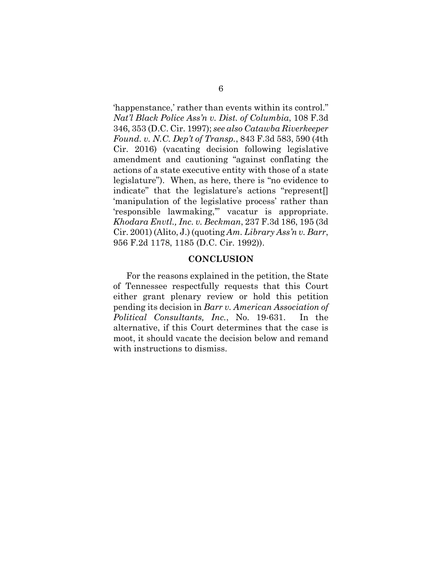'happenstance,' rather than events within its control." *Nat'l Black Police Ass'n v. Dist. of Columbia*, 108 F.3d 346, 353 (D.C. Cir. 1997); *see also Catawba Riverkeeper Found. v. N.C. Dep't of Transp.*, 843 F.3d 583, 590 (4th Cir. 2016) (vacating decision following legislative amendment and cautioning "against conflating the actions of a state executive entity with those of a state legislature"). When, as here, there is "no evidence to indicate" that the legislature's actions "represent[] 'manipulation of the legislative process' rather than 'responsible lawmaking,'" vacatur is appropriate. *Khodara Envtl., Inc. v. Beckman*, 237 F.3d 186, 195 (3d Cir. 2001) (Alito, J.) (quoting *Am. Library Ass'n v. Barr*, 956 F.2d 1178, 1185 (D.C. Cir. 1992)).

#### **CONCLUSION**

For the reasons explained in the petition, the State of Tennessee respectfully requests that this Court either grant plenary review or hold this petition pending its decision in *Barr v. American Association of Political Consultants, Inc.*, No. 19-631. In the alternative, if this Court determines that the case is moot, it should vacate the decision below and remand with instructions to dismiss.